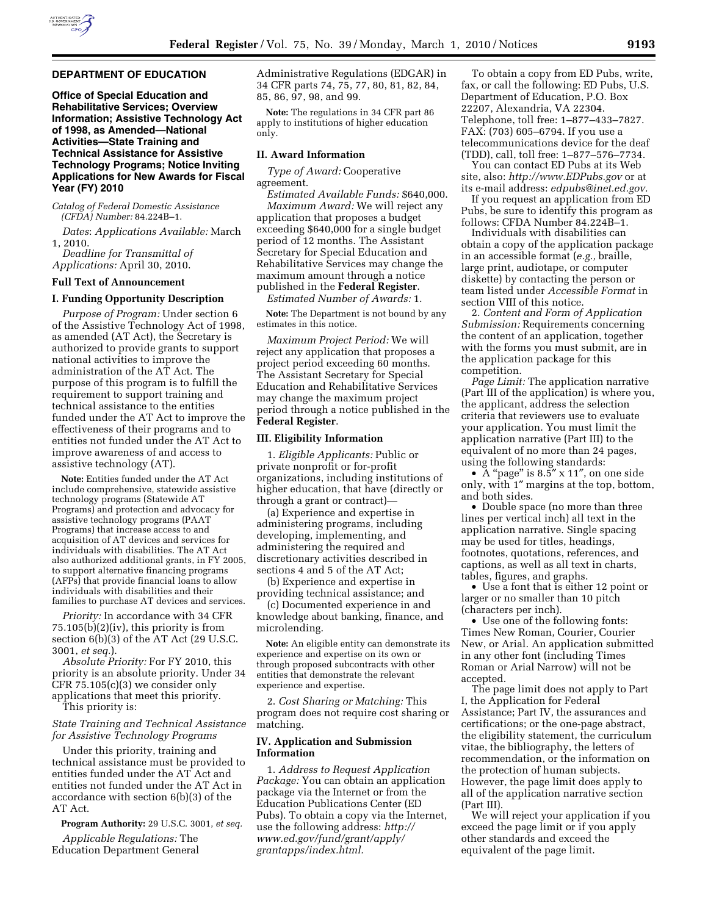

## **DEPARTMENT OF EDUCATION**

**Office of Special Education and Rehabilitative Services; Overview Information; Assistive Technology Act of 1998, as Amended—National Activities—State Training and Technical Assistance for Assistive Technology Programs; Notice Inviting Applications for New Awards for Fiscal Year (FY) 2010** 

*Catalog of Federal Domestic Assistance (CFDA) Number:* 84.224B–1.

*Dates*: *Applications Available:* March 1, 2010.

*Deadline for Transmittal of Applications:* April 30, 2010.

### **Full Text of Announcement**

## **I. Funding Opportunity Description**

*Purpose of Program:* Under section 6 of the Assistive Technology Act of 1998, as amended (AT Act), the Secretary is authorized to provide grants to support national activities to improve the administration of the AT Act. The purpose of this program is to fulfill the requirement to support training and technical assistance to the entities funded under the AT Act to improve the effectiveness of their programs and to entities not funded under the AT Act to improve awareness of and access to assistive technology (AT).

**Note:** Entities funded under the AT Act include comprehensive, statewide assistive technology programs (Statewide AT Programs) and protection and advocacy for assistive technology programs (PAAT Programs) that increase access to and acquisition of AT devices and services for individuals with disabilities. The AT Act also authorized additional grants, in FY 2005, to support alternative financing programs (AFPs) that provide financial loans to allow individuals with disabilities and their families to purchase AT devices and services.

*Priority:* In accordance with 34 CFR  $75.105(b)(2)(iv)$ , this priority is from section 6(b)(3) of the AT Act (29 U.S.C. 3001, *et seq.*).

*Absolute Priority:* For FY 2010, this priority is an absolute priority. Under 34 CFR 75.105(c)(3) we consider only applications that meet this priority. This priority is:

*State Training and Technical Assistance for Assistive Technology Programs* 

Under this priority, training and technical assistance must be provided to entities funded under the AT Act and entities not funded under the AT Act in accordance with section 6(b)(3) of the AT Act.

**Program Authority:** 29 U.S.C. 3001, *et seq.* 

*Applicable Regulations:* The Education Department General Administrative Regulations (EDGAR) in 34 CFR parts 74, 75, 77, 80, 81, 82, 84, 85, 86, 97, 98, and 99.

**Note:** The regulations in 34 CFR part 86 apply to institutions of higher education only.

## **II. Award Information**

*Type of Award:* Cooperative agreement.

*Estimated Available Funds:* \$640,000. *Maximum Award:* We will reject any application that proposes a budget exceeding \$640,000 for a single budget period of 12 months. The Assistant Secretary for Special Education and Rehabilitative Services may change the maximum amount through a notice published in the **Federal Register**.

*Estimated Number of Awards:* 1.

**Note:** The Department is not bound by any estimates in this notice.

*Maximum Project Period:* We will reject any application that proposes a project period exceeding 60 months. The Assistant Secretary for Special Education and Rehabilitative Services may change the maximum project period through a notice published in the **Federal Register**.

## **III. Eligibility Information**

1. *Eligible Applicants:* Public or private nonprofit or for-profit organizations, including institutions of higher education, that have (directly or through a grant or contract)—

(a) Experience and expertise in administering programs, including developing, implementing, and administering the required and discretionary activities described in sections 4 and 5 of the AT Act;

(b) Experience and expertise in providing technical assistance; and

(c) Documented experience in and knowledge about banking, finance, and microlending.

**Note:** An eligible entity can demonstrate its experience and expertise on its own or through proposed subcontracts with other entities that demonstrate the relevant experience and expertise.

2. *Cost Sharing or Matching:* This program does not require cost sharing or matching.

# **IV. Application and Submission Information**

1. *Address to Request Application Package:* You can obtain an application package via the Internet or from the Education Publications Center (ED Pubs). To obtain a copy via the Internet, use the following address: *http:// www.ed.gov/fund/grant/apply/ grantapps/index.html.* 

To obtain a copy from ED Pubs, write, fax, or call the following: ED Pubs, U.S. Department of Education, P.O. Box 22207, Alexandria, VA 22304. Telephone, toll free: 1–877–433–7827. FAX: (703) 605–6794. If you use a telecommunications device for the deaf (TDD), call, toll free: 1–877–576–7734.

You can contact ED Pubs at its Web site, also: *http://www.EDPubs.gov* or at its e-mail address: *edpubs@inet.ed.gov.* 

If you request an application from ED Pubs, be sure to identify this program as follows: CFDA Number 84.224B–1.

Individuals with disabilities can obtain a copy of the application package in an accessible format (*e.g.,* braille, large print, audiotape, or computer diskette) by contacting the person or team listed under *Accessible Format* in section VIII of this notice.

2. *Content and Form of Application Submission:* Requirements concerning the content of an application, together with the forms you must submit, are in the application package for this competition.

*Page Limit:* The application narrative (Part III of the application) is where you, the applicant, address the selection criteria that reviewers use to evaluate your application. You must limit the application narrative (Part III) to the equivalent of no more than 24 pages, using the following standards:

• A "page" is 8.5" x 11", on one side only, with 1″ margins at the top, bottom, and both sides.

• Double space (no more than three lines per vertical inch) all text in the application narrative. Single spacing may be used for titles, headings, footnotes, quotations, references, and captions, as well as all text in charts, tables, figures, and graphs.

• Use a font that is either 12 point or larger or no smaller than 10 pitch (characters per inch).

• Use one of the following fonts: Times New Roman, Courier, Courier New, or Arial. An application submitted in any other font (including Times Roman or Arial Narrow) will not be accepted.

The page limit does not apply to Part I, the Application for Federal Assistance; Part IV, the assurances and certifications; or the one-page abstract, the eligibility statement, the curriculum vitae, the bibliography, the letters of recommendation, or the information on the protection of human subjects. However, the page limit does apply to all of the application narrative section (Part III).

We will reject your application if you exceed the page limit or if you apply other standards and exceed the equivalent of the page limit.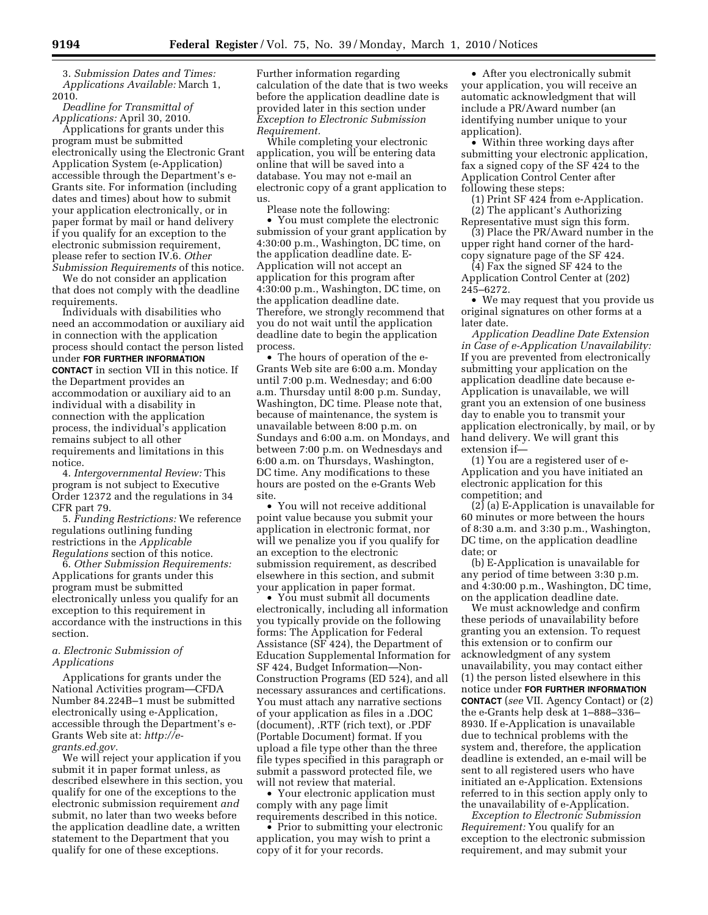3. *Submission Dates and Times: Applications Available:* March 1, 2010.

*Deadline for Transmittal of Applications:* April 30, 2010.

Applications for grants under this program must be submitted electronically using the Electronic Grant Application System (e-Application) accessible through the Department's e-Grants site. For information (including dates and times) about how to submit your application electronically, or in paper format by mail or hand delivery if you qualify for an exception to the electronic submission requirement, please refer to section IV.6. *Other Submission Requirements* of this notice.

We do not consider an application that does not comply with the deadline requirements.

Individuals with disabilities who need an accommodation or auxiliary aid in connection with the application process should contact the person listed under **FOR FURTHER INFORMATION CONTACT** in section VII in this notice. If the Department provides an accommodation or auxiliary aid to an individual with a disability in connection with the application process, the individual's application remains subject to all other requirements and limitations in this notice.

4. *Intergovernmental Review:* This program is not subject to Executive Order 12372 and the regulations in 34 CFR part 79.

5. *Funding Restrictions:* We reference regulations outlining funding restrictions in the *Applicable Regulations* section of this notice.

6. *Other Submission Requirements:*  Applications for grants under this program must be submitted electronically unless you qualify for an exception to this requirement in accordance with the instructions in this section.

# *a. Electronic Submission of Applications*

Applications for grants under the National Activities program—CFDA Number 84.224B–1 must be submitted electronically using e-Application, accessible through the Department's e-Grants Web site at: *http://egrants.ed.gov.* 

We will reject your application if you submit it in paper format unless, as described elsewhere in this section, you qualify for one of the exceptions to the electronic submission requirement *and*  submit, no later than two weeks before the application deadline date, a written statement to the Department that you qualify for one of these exceptions.

Further information regarding calculation of the date that is two weeks before the application deadline date is provided later in this section under *Exception to Electronic Submission Requirement.* 

While completing your electronic application, you will be entering data online that will be saved into a database. You may not e-mail an electronic copy of a grant application to us.

Please note the following:

• You must complete the electronic submission of your grant application by 4:30:00 p.m., Washington, DC time, on the application deadline date. E-Application will not accept an application for this program after 4:30:00 p.m., Washington, DC time, on the application deadline date. Therefore, we strongly recommend that you do not wait until the application deadline date to begin the application process.

• The hours of operation of the e-Grants Web site are 6:00 a.m. Monday until 7:00 p.m. Wednesday; and 6:00 a.m. Thursday until 8:00 p.m. Sunday, Washington, DC time. Please note that, because of maintenance, the system is unavailable between 8:00 p.m. on Sundays and 6:00 a.m. on Mondays, and between 7:00 p.m. on Wednesdays and 6:00 a.m. on Thursdays, Washington, DC time. Any modifications to these hours are posted on the e-Grants Web site.

• You will not receive additional point value because you submit your application in electronic format, nor will we penalize you if you qualify for an exception to the electronic submission requirement, as described elsewhere in this section, and submit your application in paper format.

• You must submit all documents electronically, including all information you typically provide on the following forms: The Application for Federal Assistance (SF 424), the Department of Education Supplemental Information for SF 424, Budget Information—Non-Construction Programs (ED 524), and all necessary assurances and certifications. You must attach any narrative sections of your application as files in a .DOC (document), .RTF (rich text), or .PDF (Portable Document) format. If you upload a file type other than the three file types specified in this paragraph or submit a password protected file, we will not review that material.

• Your electronic application must comply with any page limit requirements described in this notice.

• Prior to submitting your electronic application, you may wish to print a copy of it for your records.

• After you electronically submit your application, you will receive an automatic acknowledgment that will include a PR/Award number (an identifying number unique to your application).

• Within three working days after submitting your electronic application, fax a signed copy of the SF 424 to the Application Control Center after following these steps:

(1) Print SF 424 from e-Application. (2) The applicant's Authorizing

Representative must sign this form. (3) Place the PR/Award number in the upper right hand corner of the hard-

copy signature page of the SF 424. (4) Fax the signed SF 424 to the

Application Control Center at (202) 245–6272.

• We may request that you provide us original signatures on other forms at a later date.

*Application Deadline Date Extension in Case of e-Application Unavailability:*  If you are prevented from electronically submitting your application on the application deadline date because e-Application is unavailable, we will grant you an extension of one business day to enable you to transmit your application electronically, by mail, or by hand delivery. We will grant this extension if—

(1) You are a registered user of e-Application and you have initiated an electronic application for this competition; and

(2) (a) E-Application is unavailable for 60 minutes or more between the hours of 8:30 a.m. and 3:30 p.m., Washington, DC time, on the application deadline date; or

(b) E-Application is unavailable for any period of time between 3:30 p.m. and 4:30:00 p.m., Washington, DC time, on the application deadline date.

We must acknowledge and confirm these periods of unavailability before granting you an extension. To request this extension or to confirm our acknowledgment of any system unavailability, you may contact either (1) the person listed elsewhere in this notice under **FOR FURTHER INFORMATION CONTACT** (*see* VII. Agency Contact) or (2) the e-Grants help desk at 1–888–336– 8930. If e-Application is unavailable due to technical problems with the system and, therefore, the application deadline is extended, an e-mail will be sent to all registered users who have initiated an e-Application. Extensions referred to in this section apply only to the unavailability of e-Application.

*Exception to Electronic Submission Requirement:* You qualify for an exception to the electronic submission requirement, and may submit your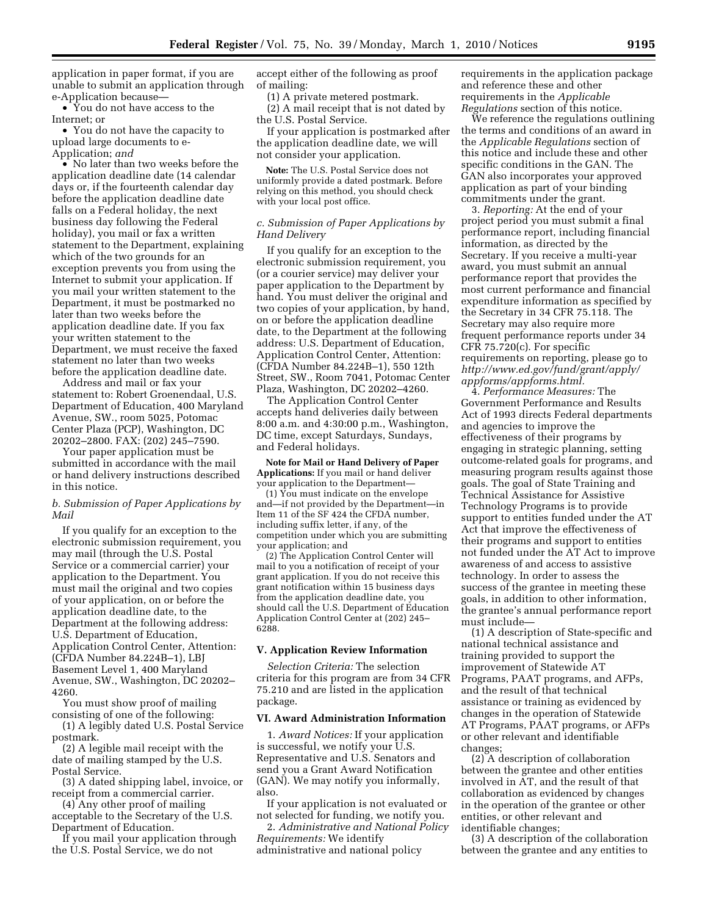application in paper format, if you are unable to submit an application through e-Application because—

• You do not have access to the Internet; or

• You do not have the capacity to upload large documents to e-Application; *and* 

• No later than two weeks before the application deadline date (14 calendar days or, if the fourteenth calendar day before the application deadline date falls on a Federal holiday, the next business day following the Federal holiday), you mail or fax a written statement to the Department, explaining which of the two grounds for an exception prevents you from using the Internet to submit your application. If you mail your written statement to the Department, it must be postmarked no later than two weeks before the application deadline date. If you fax your written statement to the Department, we must receive the faxed statement no later than two weeks before the application deadline date.

Address and mail or fax your statement to: Robert Groenendaal, U.S. Department of Education, 400 Maryland Avenue, SW., room 5025, Potomac Center Plaza (PCP), Washington, DC 20202–2800. FAX: (202) 245–7590.

Your paper application must be submitted in accordance with the mail or hand delivery instructions described in this notice.

# *b. Submission of Paper Applications by Mail*

If you qualify for an exception to the electronic submission requirement, you may mail (through the U.S. Postal Service or a commercial carrier) your application to the Department. You must mail the original and two copies of your application, on or before the application deadline date, to the Department at the following address: U.S. Department of Education, Application Control Center, Attention: (CFDA Number 84.224B–1), LBJ Basement Level 1, 400 Maryland Avenue, SW., Washington, DC 20202– 4260.

You must show proof of mailing consisting of one of the following:

(1) A legibly dated U.S. Postal Service postmark.

(2) A legible mail receipt with the date of mailing stamped by the U.S. Postal Service.

(3) A dated shipping label, invoice, or receipt from a commercial carrier.

(4) Any other proof of mailing acceptable to the Secretary of the U.S. Department of Education.

If you mail your application through the U.S. Postal Service, we do not

accept either of the following as proof of mailing:

(1) A private metered postmark.

(2) A mail receipt that is not dated by the U.S. Postal Service.

If your application is postmarked after the application deadline date, we will not consider your application.

**Note:** The U.S. Postal Service does not uniformly provide a dated postmark. Before relying on this method, you should check with your local post office.

# *c. Submission of Paper Applications by Hand Delivery*

If you qualify for an exception to the electronic submission requirement, you (or a courier service) may deliver your paper application to the Department by hand. You must deliver the original and two copies of your application, by hand, on or before the application deadline date, to the Department at the following address: U.S. Department of Education, Application Control Center, Attention: (CFDA Number 84.224B–1), 550 12th Street, SW., Room 7041, Potomac Center Plaza, Washington, DC 20202–4260.

The Application Control Center accepts hand deliveries daily between 8:00 a.m. and 4:30:00 p.m., Washington, DC time, except Saturdays, Sundays, and Federal holidays.

**Note for Mail or Hand Delivery of Paper Applications:** If you mail or hand deliver your application to the Department—

(1) You must indicate on the envelope and—if not provided by the Department—in Item 11 of the SF 424 the CFDA number, including suffix letter, if any, of the competition under which you are submitting your application; and

(2) The Application Control Center will mail to you a notification of receipt of your grant application. If you do not receive this grant notification within 15 business days from the application deadline date, you should call the U.S. Department of Education Application Control Center at (202) 245– 6288.

#### **V. Application Review Information**

*Selection Criteria:* The selection criteria for this program are from 34 CFR 75.210 and are listed in the application package.

### **VI. Award Administration Information**

1. *Award Notices:* If your application is successful, we notify your U.S. Representative and U.S. Senators and send you a Grant Award Notification (GAN). We may notify you informally, also.

If your application is not evaluated or not selected for funding, we notify you.

2. *Administrative and National Policy Requirements:* We identify administrative and national policy

requirements in the application package and reference these and other requirements in the *Applicable Regulations* section of this notice.

We reference the regulations outlining the terms and conditions of an award in the *Applicable Regulations* section of this notice and include these and other specific conditions in the GAN. The GAN also incorporates your approved application as part of your binding commitments under the grant.

3. *Reporting:* At the end of your project period you must submit a final performance report, including financial information, as directed by the Secretary. If you receive a multi-year award, you must submit an annual performance report that provides the most current performance and financial expenditure information as specified by the Secretary in 34 CFR 75.118. The Secretary may also require more frequent performance reports under 34 CFR 75.720(c). For specific requirements on reporting, please go to *http://www.ed.gov/fund/grant/apply/ appforms/appforms.html.* 

4. *Performance Measures:* The Government Performance and Results Act of 1993 directs Federal departments and agencies to improve the effectiveness of their programs by engaging in strategic planning, setting outcome-related goals for programs, and measuring program results against those goals. The goal of State Training and Technical Assistance for Assistive Technology Programs is to provide support to entities funded under the AT Act that improve the effectiveness of their programs and support to entities not funded under the AT Act to improve awareness of and access to assistive technology. In order to assess the success of the grantee in meeting these goals, in addition to other information, the grantee's annual performance report must include—

(1) A description of State-specific and national technical assistance and training provided to support the improvement of Statewide AT Programs, PAAT programs, and AFPs, and the result of that technical assistance or training as evidenced by changes in the operation of Statewide AT Programs, PAAT programs, or AFPs or other relevant and identifiable changes;

(2) A description of collaboration between the grantee and other entities involved in AT, and the result of that collaboration as evidenced by changes in the operation of the grantee or other entities, or other relevant and identifiable changes;

(3) A description of the collaboration between the grantee and any entities to